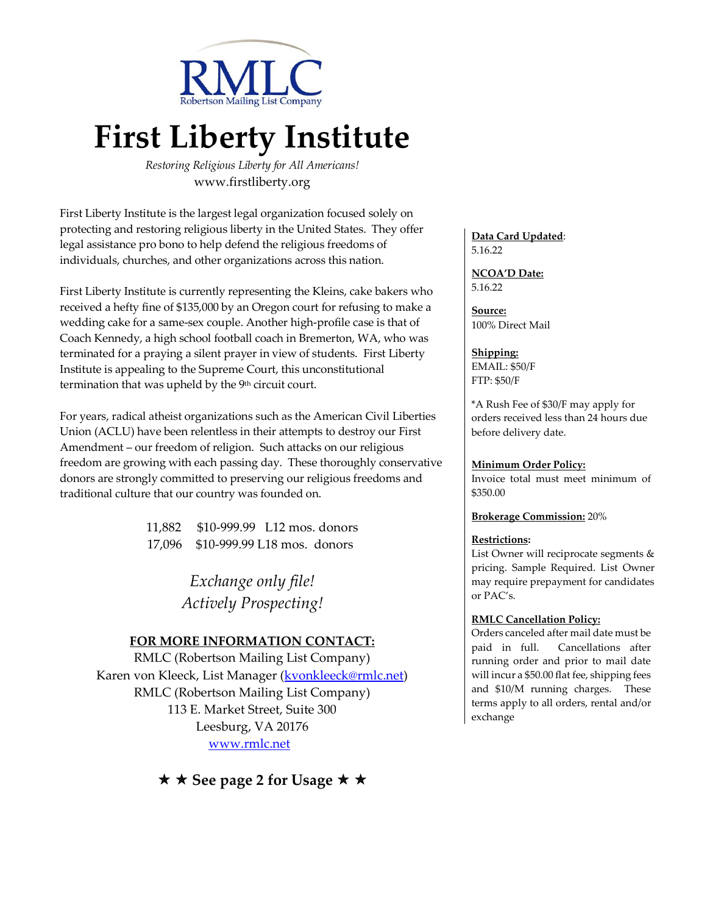

# **First Liberty Institute**

*Restoring Religious Liberty for All Americans!* www.firstliberty.org

First Liberty Institute is the largest legal organization focused solely on protecting and restoring religious liberty in the United States. They offer legal assistance pro bono to help defend the religious freedoms of individuals, churches, and other organizations across this nation.

First Liberty Institute is currently representing the Kleins, cake bakers who received a hefty fine of \$135,000 by an Oregon court for refusing to make a wedding cake for a same-sex couple. Another high-profile case is that of Coach Kennedy, a high school football coach in Bremerton, WA, who was terminated for a praying a silent prayer in view of students. First Liberty Institute is appealing to the Supreme Court, this unconstitutional termination that was upheld by the 9<sup>th</sup> circuit court.

For years, radical atheist organizations such as the American Civil Liberties Union (ACLU) have been relentless in their attempts to destroy our First Amendment – our freedom of religion. Such attacks on our religious freedom are growing with each passing day. These thoroughly conservative donors are strongly committed to preserving our religious freedoms and traditional culture that our country was founded on.

> 11,882 \$10-999.99 L12 mos. donors 17,096 \$10-999.99 L18 mos. donors

> > *Exchange only file! Actively Prospecting!*

# **FOR MORE INFORMATION CONTACT:**

RMLC (Robertson Mailing List Company) Karen von Kleeck, List Manager [\(kvonkleeck@rmlc.net\)](mailto:kvonkleeck@rmlc.net) RMLC (Robertson Mailing List Company) 113 E. Market Street, Suite 300 Leesburg, VA 20176 [www.rmlc.net](http://www.rmlc.net/)

**★ ★ See page 2 for Usage ★ ★** 

**Data Card Updated**: 5.16.22

**NCOA'D Date:** 5.16.22

**Source:** 100% Direct Mail

#### **Shipping:**

EMAIL: \$50/F FTP: \$50/F

\*A Rush Fee of \$30/F may apply for orders received less than 24 hours due before delivery date.

#### **Minimum Order Policy:**

Invoice total must meet minimum of \$350.00

#### **Brokerage Commission:** 20%

#### **Restrictions:**

List Owner will reciprocate segments & pricing. Sample Required. List Owner may require prepayment for candidates or PAC's.

#### **RMLC Cancellation Policy:**

Orders canceled after mail date must be paid in full. Cancellations after running order and prior to mail date will incur a \$50.00 flat fee, shipping fees and \$10/M running charges. These terms apply to all orders, rental and/or exchange